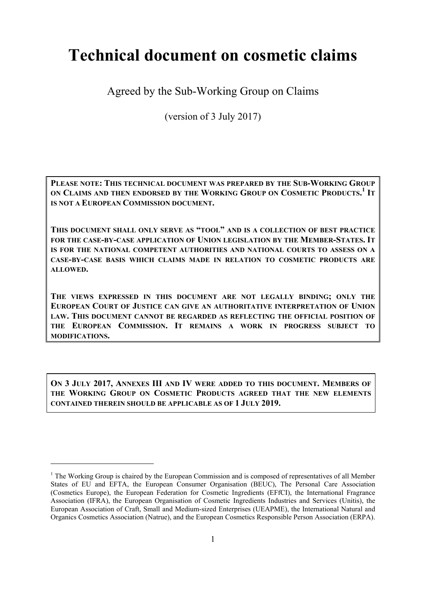# **Technical document on cosmetic claims**

Agreed by the Sub-Working Group on Claims

(version of 3 July 2017)

**PLEASE NOTE: THIS TECHNICAL DOCUMENT WAS PREPARED BY THE SUB-WORKING GROUP ON CLAIMS AND THEN ENDORSED BY THE WORKING GROUP ON COSMETIC PRODUCTS. <sup>1</sup> IT IS NOT A EUROPEAN COMMISSION DOCUMENT.** 

**THIS DOCUMENT SHALL ONLY SERVE AS "TOOL" AND IS A COLLECTION OF BEST PRACTICE FOR THE CASE-BY-CASE APPLICATION OF UNION LEGISLATION BY THE MEMBER-STATES. IT IS FOR THE NATIONAL COMPETENT AUTHORITIES AND NATIONAL COURTS TO ASSESS ON A CASE-BY-CASE BASIS WHICH CLAIMS MADE IN RELATION TO COSMETIC PRODUCTS ARE ALLOWED.**

**THE VIEWS EXPRESSED IN THIS DOCUMENT ARE NOT LEGALLY BINDING; ONLY THE EUROPEAN COURT OF JUSTICE CAN GIVE AN AUTHORITATIVE INTERPRETATION OF UNION LAW. THIS DOCUMENT CANNOT BE REGARDED AS REFLECTING THE OFFICIAL POSITION OF THE EUROPEAN COMMISSION. IT REMAINS A WORK IN PROGRESS SUBJECT TO MODIFICATIONS.** 

**ON 3 JULY 2017, ANNEXES III AND IV WERE ADDED TO THIS DOCUMENT. MEMBERS OF THE WORKING GROUP ON COSMETIC PRODUCTS AGREED THAT THE NEW ELEMENTS CONTAINED THEREIN SHOULD BE APPLICABLE AS OF 1 JULY 2019.** 

<sup>&</sup>lt;sup>1</sup> The Working Group is chaired by the European Commission and is composed of representatives of all Member States of EU and EFTA, the European Consumer Organisation (BEUC), The Personal Care Association (Cosmetics Europe), the European Federation for Cosmetic Ingredients (EFfCI), the International Fragrance Association (IFRA), the European Organisation of Cosmetic Ingredients Industries and Services (Unitis), the European Association of Craft, Small and Medium-sized Enterprises (UEAPME), the International Natural and Organics Cosmetics Association (Natrue), and the European Cosmetics Responsible Person Association (ERPA).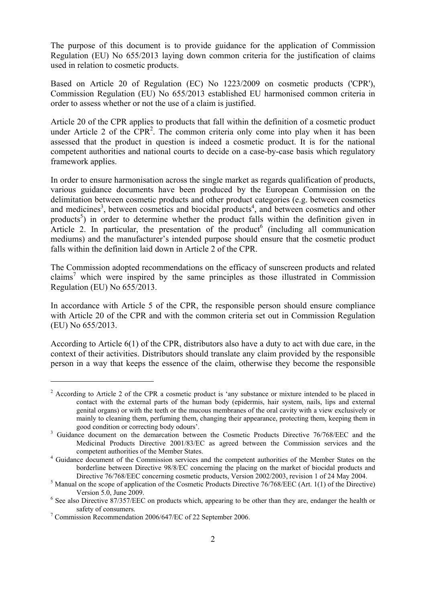The purpose of this document is to provide guidance for the application of Commission Regulation (EU) No 655/2013 laying down common criteria for the justification of claims used in relation to cosmetic products.

Based on Article 20 of Regulation (EC) No 1223/2009 on cosmetic products ('CPR'), Commission Regulation (EU) No 655/2013 established EU harmonised common criteria in order to assess whether or not the use of a claim is justified.

Article 20 of the CPR applies to products that fall within the definition of a cosmetic product under Article 2 of the  $CPR<sup>2</sup>$ . The common criteria only come into play when it has been assessed that the product in question is indeed a cosmetic product. It is for the national competent authorities and national courts to decide on a case-by-case basis which regulatory framework applies.

In order to ensure harmonisation across the single market as regards qualification of products, various guidance documents have been produced by the European Commission on the delimitation between cosmetic products and other product categories (e.g. between cosmetics and medicines<sup>3</sup>, between cosmetics and biocidal products<sup>4</sup>, and between cosmetics and other products<sup>5</sup>) in order to determine whether the product falls within the definition given in Article 2. In particular, the presentation of the product<sup>6</sup> (including all communication mediums) and the manufacturer's intended purpose should ensure that the cosmetic product falls within the definition laid down in Article 2 of the CPR.

The Commission adopted recommendations on the efficacy of sunscreen products and related claims<sup>7</sup> which were inspired by the same principles as those illustrated in Commission Regulation (EU) No 655/2013.

In accordance with Article 5 of the CPR, the responsible person should ensure compliance with Article 20 of the CPR and with the common criteria set out in Commission Regulation (EU) No 655/2013.

According to Article 6(1) of the CPR, distributors also have a duty to act with due care, in the context of their activities. Distributors should translate any claim provided by the responsible person in a way that keeps the essence of the claim, otherwise they become the responsible

<sup>&</sup>lt;sup>2</sup> According to Article 2 of the CPR a cosmetic product is 'any substance or mixture intended to be placed in contact with the external parts of the human body (epidermis, hair system, nails, lips and external genital organs) or with the teeth or the mucous membranes of the oral cavity with a view exclusively or mainly to cleaning them, perfuming them, changing their appearance, protecting them, keeping them in good condition or correcting body odours'.

<sup>&</sup>lt;sup>3</sup> Guidance document on the demarcation between the Cosmetic Products Directive 76/768/EEC and the Medicinal Products Directive 2001/83/EC as agreed between the Commission services and the competent authorities of the Member States. 4 Guidance document of the Commission services and the competent authorities of the Member States on the

borderline between Directive 98/8/EC concerning the placing on the market of biocidal products and Directive 76/768/EEC concerning cosmetic products, Version 2002/2003, revision 1 of 24 May 2004.

<sup>&</sup>lt;sup>5</sup> Manual on the scope of application of the Cosmetic Products Directive 76/768/EEC (Art. 1(1) of the Directive) Version 5.0, June 2009.<br>
<sup>6</sup> See also Directive 87/357/EEC on products which, appearing to be other than they are, endanger the health or

safety of consumers.<br><sup>7</sup> Commission Recommendation 2006/647/EC of 22 September 2006.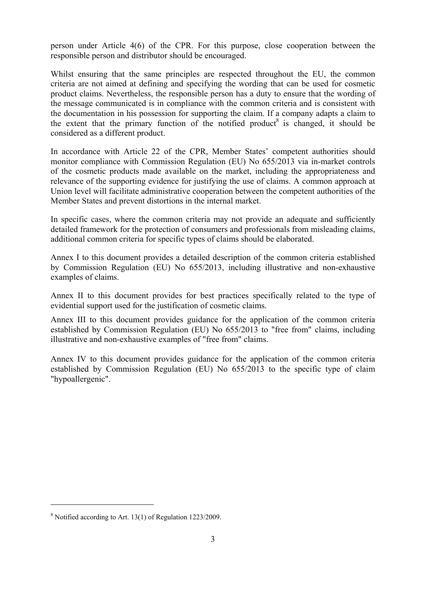person under Article 4(6) of the CPR. For this purpose, close cooperation between the responsible person and distributor should be encouraged.

Whilst ensuring that the same principles are respected throughout the EU, the common criteria are not aimed at defining and specifying the wording that can be used for cosmetic product claims. Nevertheless, the responsible person has a duty to ensure that the wording of the message communicated is in compliance with the common criteria and is consistent with the documentation in his possession for supporting the claim. If a company adapts a claim to the extent that the primary function of the notified product<sup>8</sup> is changed, it should be considered as a different product.

In accordance with Article 22 of the CPR, Member States' competent authorities should monitor compliance with Commission Regulation (EU) No 655/2013 via in-market controls of the cosmetic products made available on the market, including the appropriateness and relevance of the supporting evidence for justifying the use of claims. A common approach at Union level will facilitate administrative cooperation between the competent authorities of the Member States and prevent distortions in the internal market.

In specific cases, where the common criteria may not provide an adequate and sufficiently detailed framework for the protection of consumers and professionals from misleading claims, additional common criteria for specific types of claims should be elaborated.

Annex I to this document provides a detailed description of the common criteria established by Commission Regulation (EU) No 655/2013, including illustrative and non-exhaustive examples of claims.

Annex II to this document provides for best practices specifically related to the type of evidential support used for the justification of cosmetic claims.

Annex III to this document provides guidance for the application of the common criteria established by Commission Regulation (EU) No 655/2013 to "free from" claims, including illustrative and non-exhaustive examples of "free from" claims.

Annex IV to this document provides guidance for the application of the common criteria established by Commission Regulation (EU) No 655/2013 to the specific type of claim "hypoallergenic".

<u>.</u>

<sup>8</sup> Notified according to Art. 13(1) of Regulation 1223/2009.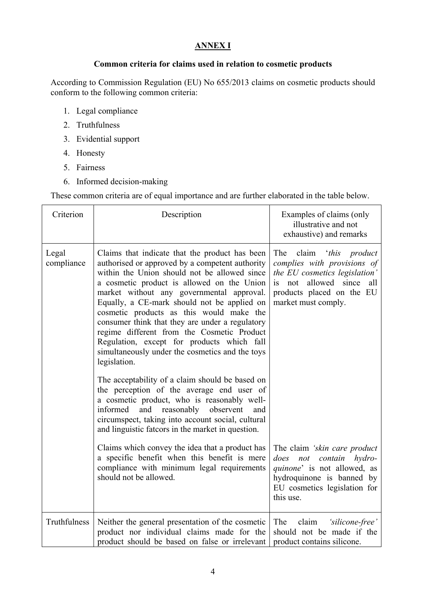# **ANNEX I**

## **Common criteria for claims used in relation to cosmetic products**

According to Commission Regulation (EU) No 655/2013 claims on cosmetic products should conform to the following common criteria:

- 1. Legal compliance
- 2. Truthfulness
- 3. Evidential support
- 4. Honesty
- 5. Fairness
- 6. Informed decision-making

These common criteria are of equal importance and are further elaborated in the table below.

| Criterion           | Description                                                                                                                                                                                                                                                                                                                                                                                                                                                                                                                                                                                                                                                                                                                                                                                                                                                       | Examples of claims (only<br>illustrative and not<br>exhaustive) and remarks                                                                                                          |
|---------------------|-------------------------------------------------------------------------------------------------------------------------------------------------------------------------------------------------------------------------------------------------------------------------------------------------------------------------------------------------------------------------------------------------------------------------------------------------------------------------------------------------------------------------------------------------------------------------------------------------------------------------------------------------------------------------------------------------------------------------------------------------------------------------------------------------------------------------------------------------------------------|--------------------------------------------------------------------------------------------------------------------------------------------------------------------------------------|
| Legal<br>compliance | Claims that indicate that the product has been<br>authorised or approved by a competent authority<br>within the Union should not be allowed since<br>a cosmetic product is allowed on the Union<br>market without any governmental approval.<br>Equally, a CE-mark should not be applied on<br>cosmetic products as this would make the<br>consumer think that they are under a regulatory<br>regime different from the Cosmetic Product<br>Regulation, except for products which fall<br>simultaneously under the cosmetics and the toys<br>legislation.<br>The acceptability of a claim should be based on<br>the perception of the average end user of<br>a cosmetic product, who is reasonably well-<br>and reasonably observent<br>informed<br>and<br>circumspect, taking into account social, cultural<br>and linguistic fatcors in the market in question. | claim 'this product<br>The<br>complies with provisions of<br>the EU cosmetics legislation'<br>allowed since<br>not<br>is.<br>all<br>products placed on the EU<br>market must comply. |
|                     | Claims which convey the idea that a product has<br>a specific benefit when this benefit is mere<br>compliance with minimum legal requirements<br>should not be allowed.                                                                                                                                                                                                                                                                                                                                                                                                                                                                                                                                                                                                                                                                                           | The claim 'skin care product<br>not contain<br>does<br>hydro-<br>quinone' is not allowed, as<br>hydroquinone is banned by<br>EU cosmetics legislation for<br>this use.               |
| Truthfulness        | Neither the general presentation of the cosmetic<br>product nor individual claims made for the<br>product should be based on false or irrelevant                                                                                                                                                                                                                                                                                                                                                                                                                                                                                                                                                                                                                                                                                                                  | claim<br>The<br>'silicone-free'<br>should not be made if the<br>product contains silicone.                                                                                           |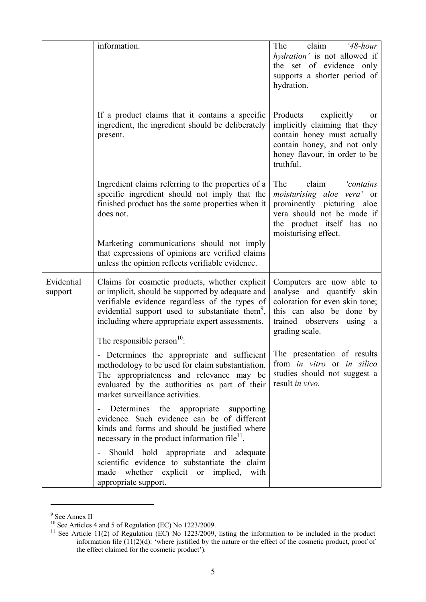|                       | information.                                                                                                                                                                                                                                                                                               | claim<br>The<br>$48$ -hour<br>hydration' is not allowed if<br>the set of evidence only<br>supports a shorter period of<br>hydration.                                            |
|-----------------------|------------------------------------------------------------------------------------------------------------------------------------------------------------------------------------------------------------------------------------------------------------------------------------------------------------|---------------------------------------------------------------------------------------------------------------------------------------------------------------------------------|
|                       | If a product claims that it contains a specific<br>ingredient, the ingredient should be deliberately<br>present.                                                                                                                                                                                           | Products<br>explicitly<br>or<br>implicitly claiming that they<br>contain honey must actually<br>contain honey, and not only<br>honey flavour, in order to be<br>truthful.       |
|                       | Ingredient claims referring to the properties of a<br>specific ingredient should not imply that the<br>finished product has the same properties when it<br>does not.                                                                                                                                       | The<br>claim<br>'contains<br><i>moisturising aloe vera'</i> or<br>prominently picturing aloe<br>vera should not be made if<br>the product itself has no<br>moisturising effect. |
|                       | Marketing communications should not imply<br>that expressions of opinions are verified claims<br>unless the opinion reflects verifiable evidence.                                                                                                                                                          |                                                                                                                                                                                 |
| Evidential<br>support | Claims for cosmetic products, whether explicit<br>or implicit, should be supported by adequate and<br>verifiable evidence regardless of the types of<br>evidential support used to substantiate them <sup>9</sup> ,<br>including where appropriate expert assessments.<br>The responsible person $^{10}$ . | Computers are now able to<br>analyse and quantify skin<br>coloration for even skin tone;<br>this can also be done by<br>trained observers<br>using a<br>grading scale.          |
|                       | - Determines the appropriate and sufficient<br>methodology to be used for claim substantiation.<br>The appropriateness and relevance may be<br>evaluated by the authorities as part of their<br>market surveillance activities.                                                                            | The presentation of results<br>from in vitro or in silico<br>studies should not suggest a<br>result in vivo.                                                                    |
|                       | Determines the appropriate supporting<br>evidence. Such evidence can be of different<br>kinds and forms and should be justified where<br>necessary in the product information file <sup><math>1</math></sup> .                                                                                             |                                                                                                                                                                                 |
|                       | Should hold appropriate and adequate<br>scientific evidence to substantiate the claim<br>made whether explicit or implied, with<br>appropriate support.                                                                                                                                                    |                                                                                                                                                                                 |

<sup>&</sup>lt;sup>9</sup> See Annex II

 $10$  See Articles 4 and 5 of Regulation (EC) No 1223/2009.

 $11$  See Article 11(2) of Regulation (EC) No 1223/2009, listing the information to be included in the product information file  $(11(2)(d))$ : 'where justified by the nature or the effect of the cosmetic product, proof of the effect claimed for the cosmetic product').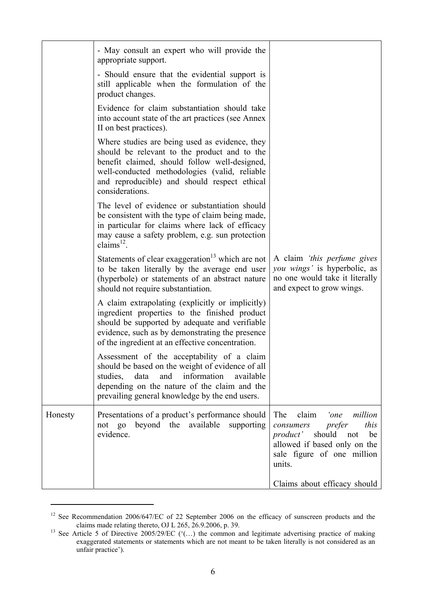|         | - May consult an expert who will provide the<br>appropriate support.                                                                                                                                                                                                |                                                                                                                                                                           |
|---------|---------------------------------------------------------------------------------------------------------------------------------------------------------------------------------------------------------------------------------------------------------------------|---------------------------------------------------------------------------------------------------------------------------------------------------------------------------|
|         | - Should ensure that the evidential support is<br>still applicable when the formulation of the<br>product changes.                                                                                                                                                  |                                                                                                                                                                           |
|         | Evidence for claim substantiation should take<br>into account state of the art practices (see Annex<br>II on best practices).                                                                                                                                       |                                                                                                                                                                           |
|         | Where studies are being used as evidence, they<br>should be relevant to the product and to the<br>benefit claimed, should follow well-designed,<br>well-conducted methodologies (valid, reliable<br>and reproducible) and should respect ethical<br>considerations. |                                                                                                                                                                           |
|         | The level of evidence or substantiation should<br>be consistent with the type of claim being made,<br>in particular for claims where lack of efficacy<br>may cause a safety problem, e.g. sun protection<br>claims $^{12}$ .                                        |                                                                                                                                                                           |
|         | Statements of clear exaggeration <sup>13</sup> which are not<br>to be taken literally by the average end user<br>(hyperbole) or statements of an abstract nature<br>should not require substantiation.                                                              | A claim 'this perfume gives<br>you wings' is hyperbolic, as<br>no one would take it literally<br>and expect to grow wings.                                                |
|         | A claim extrapolating (explicitly or implicitly)<br>ingredient properties to the finished product<br>should be supported by adequate and verifiable<br>evidence, such as by demonstrating the presence<br>of the ingredient at an effective concentration.          |                                                                                                                                                                           |
|         | Assessment of the acceptability of a claim<br>should be based on the weight of evidence of all<br>information<br>studies, data<br>and<br>available<br>depending on the nature of the claim and the<br>prevailing general knowledge by the end users.                |                                                                                                                                                                           |
| Honesty | Presentations of a product's performance should<br>not go beyond the available supporting<br>evidence.                                                                                                                                                              | The<br>claim<br>'one<br>million<br>this<br>prefer<br>consumers<br>should<br>product'<br>not<br>be<br>allowed if based only on the<br>sale figure of one million<br>units. |
|         |                                                                                                                                                                                                                                                                     | Claims about efficacy should                                                                                                                                              |

 $12$  See Recommendation 2006/647/EC of 22 September 2006 on the efficacy of sunscreen products and the

claims made relating thereto, OJ L 265, 26.9.2006, p. 39.<br><sup>13</sup> See Article 5 of Directive 2005/29/EC ('(...) the common and legitimate advertising practice of making exaggerated statements or statements which are not meant to be taken literally is not considered as an unfair practice').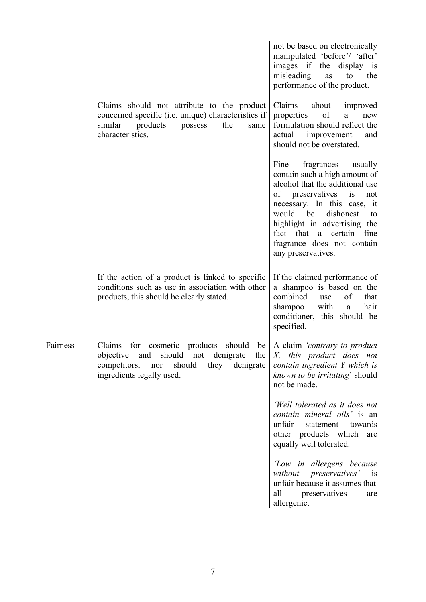|          |                                                                                                                                                                                                       | not be based on electronically                                                                                                                                                                                                                                                                                      |
|----------|-------------------------------------------------------------------------------------------------------------------------------------------------------------------------------------------------------|---------------------------------------------------------------------------------------------------------------------------------------------------------------------------------------------------------------------------------------------------------------------------------------------------------------------|
|          |                                                                                                                                                                                                       | manipulated 'before'/ 'after'<br>images if the<br>display is<br>misleading<br>the<br>as<br>to<br>performance of the product.                                                                                                                                                                                        |
|          | Claims should not attribute to the product<br>concerned specific ( <i>i.e.</i> unique) characteristics if<br>similar<br>products<br>possess<br>the<br>same<br>characteristics.                        | Claims<br>about<br>improved<br>of<br>properties<br>new<br>a<br>formulation should reflect the<br>improvement<br>actual<br>and<br>should not be overstated.                                                                                                                                                          |
|          |                                                                                                                                                                                                       | fragrances<br>Fine<br>usually<br>contain such a high amount of<br>alcohol that the additional use<br>preservatives<br>of<br>is<br>not<br>necessary. In this case, it<br>would be<br>dishonest<br>to<br>highlight in advertising the<br>fact that a certain fine<br>fragrance does not contain<br>any preservatives. |
|          | If the action of a product is linked to specific<br>conditions such as use in association with other<br>products, this should be clearly stated.                                                      | If the claimed performance of<br>a shampoo is based on the<br>combined<br>of<br>that<br>use<br>shampoo<br>with<br>hair<br>a<br>conditioner, this should be<br>specified.                                                                                                                                            |
| Fairness | Claims<br>cosmetic<br>products<br>for<br>should<br>be <sub>1</sub><br>should<br>objective<br>the<br>and<br>denigrate<br>not<br>competitors, nor should<br>they denigrate<br>ingredients legally used. | A claim <i>'contrary to product</i><br>$X_{1}$<br>this product does not<br>contain ingredient Y which is<br>known to be irritating' should<br>not be made.                                                                                                                                                          |
|          |                                                                                                                                                                                                       | 'Well tolerated as it does not<br>contain mineral oils' is an<br>unfair<br>statement<br>towards<br>other products which<br>are<br>equally well tolerated.                                                                                                                                                           |
|          |                                                                                                                                                                                                       | 'Low in allergens because<br>without preservatives' is<br>unfair because it assumes that<br>all<br>preservatives<br>are<br>allergenic.                                                                                                                                                                              |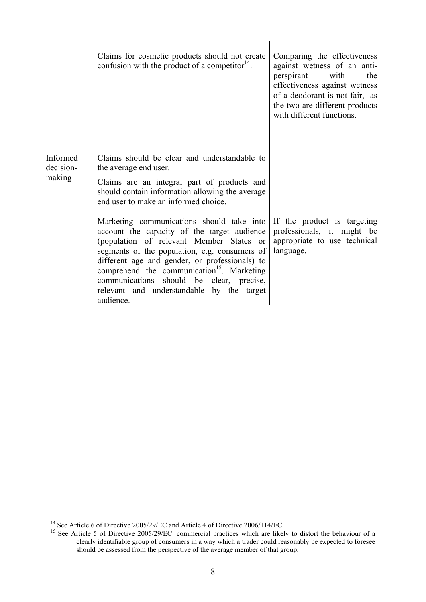|                                 | Claims for cosmetic products should not create<br>confusion with the product of a competitor $14$ .                                                                                                                                                                                                                                                                                                                                                                                                                                                                                                                        | Comparing the effectiveness<br>against wetness of an anti-<br>perspirant with<br>the<br>effectiveness against wetness<br>of a deodorant is not fair, as<br>the two are different products<br>with different functions. |
|---------------------------------|----------------------------------------------------------------------------------------------------------------------------------------------------------------------------------------------------------------------------------------------------------------------------------------------------------------------------------------------------------------------------------------------------------------------------------------------------------------------------------------------------------------------------------------------------------------------------------------------------------------------------|------------------------------------------------------------------------------------------------------------------------------------------------------------------------------------------------------------------------|
| Informed<br>decision-<br>making | Claims should be clear and understandable to<br>the average end user.<br>Claims are an integral part of products and<br>should contain information allowing the average<br>end user to make an informed choice.<br>Marketing communications should take into<br>account the capacity of the target audience<br>(population of relevant Member States or<br>segments of the population, e.g. consumers of<br>different age and gender, or professionals) to<br>comprehend the communication <sup>15</sup> . Marketing<br>communications should be clear, precise,<br>relevant and understandable by the target<br>audience. | If the product is targeting<br>professionals, it might be<br>appropriate to use technical<br>language.                                                                                                                 |

<sup>&</sup>lt;sup>14</sup> See Article 6 of Directive 2005/29/EC and Article 4 of Directive 2006/114/EC.<br><sup>15</sup> See Article 5 of Directive 2005/29/EC: commercial practices which are likely to distort the behaviour of a clearly identifiable group of consumers in a way which a trader could reasonably be expected to foresee should be assessed from the perspective of the average member of that group.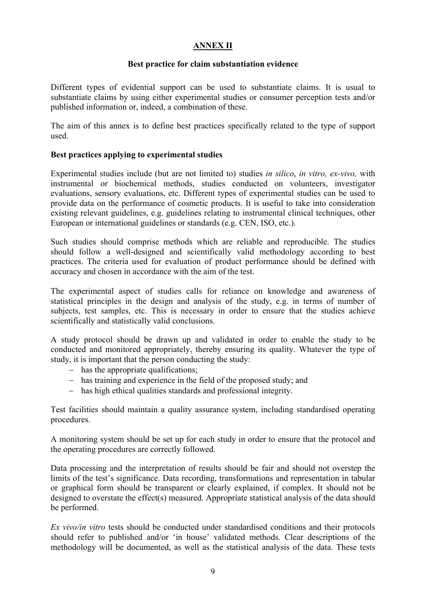#### **ANNEX II**

#### **Best practice for claim substantiation evidence**

Different types of evidential support can be used to substantiate claims. It is usual to substantiate claims by using either experimental studies or consumer perception tests and/or published information or, indeed, a combination of these.

The aim of this annex is to define best practices specifically related to the type of support used.

#### **Best practices applying to experimental studies**

Experimental studies include (but are not limited to) studies *in silico*, *in vitro, ex-vivo,* with instrumental or biochemical methods, studies conducted on volunteers, investigator evaluations, sensory evaluations, etc. Different types of experimental studies can be used to provide data on the performance of cosmetic products. It is useful to take into consideration existing relevant guidelines, e.g. guidelines relating to instrumental clinical techniques, other European or international guidelines or standards (e.g. CEN, ISO, etc.).

Such studies should comprise methods which are reliable and reproducible. The studies should follow a well-designed and scientifically valid methodology according to best practices. The criteria used for evaluation of product performance should be defined with accuracy and chosen in accordance with the aim of the test.

The experimental aspect of studies calls for reliance on knowledge and awareness of statistical principles in the design and analysis of the study, e.g. in terms of number of subjects, test samples, etc. This is necessary in order to ensure that the studies achieve scientifically and statistically valid conclusions.

A study protocol should be drawn up and validated in order to enable the study to be conducted and monitored appropriately, thereby ensuring its quality. Whatever the type of study, it is important that the person conducting the study:

- − has the appropriate qualifications;
- − has training and experience in the field of the proposed study; and
- − has high ethical qualities standards and professional integrity.

Test facilities should maintain a quality assurance system, including standardised operating procedures.

A monitoring system should be set up for each study in order to ensure that the protocol and the operating procedures are correctly followed.

Data processing and the interpretation of results should be fair and should not overstep the limits of the test's significance. Data recording, transformations and representation in tabular or graphical form should be transparent or clearly explained, if complex. It should not be designed to overstate the effect(s) measured. Appropriate statistical analysis of the data should be performed.

*Ex vivo/in vitro* tests should be conducted under standardised conditions and their protocols should refer to published and/or 'in house' validated methods. Clear descriptions of the methodology will be documented, as well as the statistical analysis of the data. These tests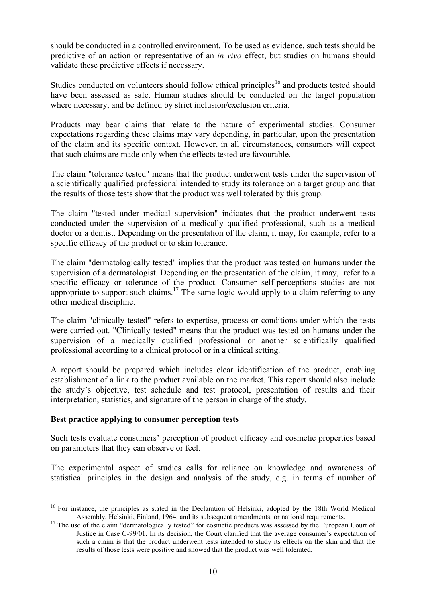should be conducted in a controlled environment. To be used as evidence, such tests should be predictive of an action or representative of an *in vivo* effect, but studies on humans should validate these predictive effects if necessary.

Studies conducted on volunteers should follow ethical principles<sup>16</sup> and products tested should have been assessed as safe. Human studies should be conducted on the target population where necessary, and be defined by strict inclusion/exclusion criteria.

Products may bear claims that relate to the nature of experimental studies. Consumer expectations regarding these claims may vary depending, in particular, upon the presentation of the claim and its specific context. However, in all circumstances, consumers will expect that such claims are made only when the effects tested are favourable.

The claim "tolerance tested" means that the product underwent tests under the supervision of a scientifically qualified professional intended to study its tolerance on a target group and that the results of those tests show that the product was well tolerated by this group.

The claim "tested under medical supervision" indicates that the product underwent tests conducted under the supervision of a medically qualified professional, such as a medical doctor or a dentist. Depending on the presentation of the claim, it may, for example, refer to a specific efficacy of the product or to skin tolerance.

The claim "dermatologically tested" implies that the product was tested on humans under the supervision of a dermatologist. Depending on the presentation of the claim, it may, refer to a specific efficacy or tolerance of the product. Consumer self-perceptions studies are not appropriate to support such claims.<sup>17</sup> The same logic would apply to a claim referring to any other medical discipline.

The claim "clinically tested" refers to expertise, process or conditions under which the tests were carried out. "Clinically tested" means that the product was tested on humans under the supervision of a medically qualified professional or another scientifically qualified professional according to a clinical protocol or in a clinical setting.

A report should be prepared which includes clear identification of the product, enabling establishment of a link to the product available on the market. This report should also include the study's objective, test schedule and test protocol, presentation of results and their interpretation, statistics, and signature of the person in charge of the study.

#### **Best practice applying to consumer perception tests**

1

Such tests evaluate consumers' perception of product efficacy and cosmetic properties based on parameters that they can observe or feel.

The experimental aspect of studies calls for reliance on knowledge and awareness of statistical principles in the design and analysis of the study, e.g. in terms of number of

<sup>&</sup>lt;sup>16</sup> For instance, the principles as stated in the Declaration of Helsinki, adopted by the 18th World Medical<br>Assembly, Helsinki, Finland, 1964, and its subsequent amendments, or national requirements.

<sup>&</sup>lt;sup>17</sup> The use of the claim "dermatologically tested" for cosmetic products was assessed by the European Court of Justice in Case C-99/01. In its decision, the Court clarified that the average consumer's expectation of such a claim is that the product underwent tests intended to study its effects on the skin and that the results of those tests were positive and showed that the product was well tolerated.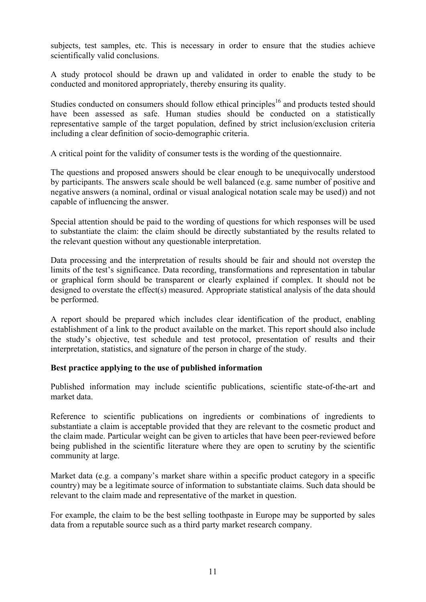subjects, test samples, etc. This is necessary in order to ensure that the studies achieve scientifically valid conclusions.

A study protocol should be drawn up and validated in order to enable the study to be conducted and monitored appropriately, thereby ensuring its quality.

Studies conducted on consumers should follow ethical principles<sup>16</sup> and products tested should have been assessed as safe. Human studies should be conducted on a statistically representative sample of the target population, defined by strict inclusion/exclusion criteria including a clear definition of socio-demographic criteria.

A critical point for the validity of consumer tests is the wording of the questionnaire.

The questions and proposed answers should be clear enough to be unequivocally understood by participants. The answers scale should be well balanced (e.g. same number of positive and negative answers (a nominal, ordinal or visual analogical notation scale may be used)) and not capable of influencing the answer.

Special attention should be paid to the wording of questions for which responses will be used to substantiate the claim: the claim should be directly substantiated by the results related to the relevant question without any questionable interpretation.

Data processing and the interpretation of results should be fair and should not overstep the limits of the test's significance. Data recording, transformations and representation in tabular or graphical form should be transparent or clearly explained if complex. It should not be designed to overstate the effect(s) measured. Appropriate statistical analysis of the data should be performed.

A report should be prepared which includes clear identification of the product, enabling establishment of a link to the product available on the market. This report should also include the study's objective, test schedule and test protocol, presentation of results and their interpretation, statistics, and signature of the person in charge of the study.

# **Best practice applying to the use of published information**

Published information may include scientific publications, scientific state-of-the-art and market data.

Reference to scientific publications on ingredients or combinations of ingredients to substantiate a claim is acceptable provided that they are relevant to the cosmetic product and the claim made. Particular weight can be given to articles that have been peer-reviewed before being published in the scientific literature where they are open to scrutiny by the scientific community at large.

Market data (e.g. a company's market share within a specific product category in a specific country) may be a legitimate source of information to substantiate claims. Such data should be relevant to the claim made and representative of the market in question.

For example, the claim to be the best selling toothpaste in Europe may be supported by sales data from a reputable source such as a third party market research company.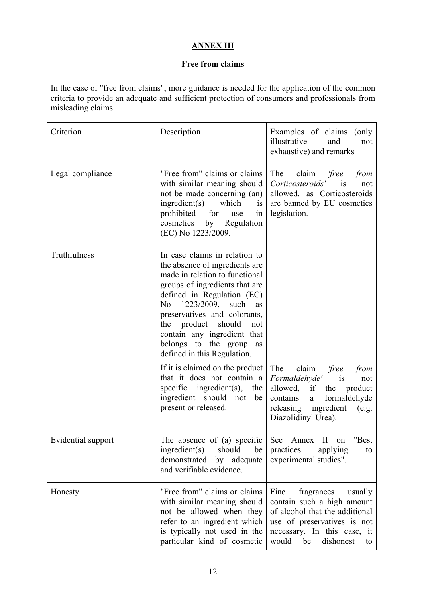# **ANNEX III**

## **Free from claims**

In the case of "free from claims", more guidance is needed for the application of the common criteria to provide an adequate and sufficient protection of consumers and professionals from misleading claims.

| Criterion          | Description                                                                                                                                                                                                                                                                                                                                                                                                                                                                                                                  | Examples of claims (only<br>illustrative<br>and<br>not<br>exhaustive) and remarks                                                                                                             |
|--------------------|------------------------------------------------------------------------------------------------------------------------------------------------------------------------------------------------------------------------------------------------------------------------------------------------------------------------------------------------------------------------------------------------------------------------------------------------------------------------------------------------------------------------------|-----------------------------------------------------------------------------------------------------------------------------------------------------------------------------------------------|
| Legal compliance   | "Free from" claims or claims<br>with similar meaning should<br>not be made concerning (an)<br>ingredient(s)<br>which<br>is<br>prohibited for<br>use<br>1n<br>cosmetics<br>by Regulation<br>(EC) No 1223/2009.                                                                                                                                                                                                                                                                                                                | The<br>claim<br>'free<br>from<br>Corticosteroids'<br>$\overline{1}S$<br>not<br>allowed, as Corticosteroids<br>are banned by EU cosmetics<br>legislation.                                      |
| Truthfulness       | In case claims in relation to<br>the absence of ingredients are<br>made in relation to functional<br>groups of ingredients that are<br>defined in Regulation (EC)<br>1223/2009, such<br>N <sub>0</sub><br>as<br>preservatives and colorants,<br>the product should<br>not<br>contain any ingredient that<br>belongs to the group<br>as<br>defined in this Regulation.<br>If it is claimed on the product<br>that it does not contain a<br>specific ingredient(s), the<br>ingredient should not<br>be<br>present or released. | The<br>claim<br>'free<br>from<br>Formaldehyde'<br><b>1S</b><br>not<br>allowed, if the<br>product<br>formaldehyde<br>contains<br>a<br>releasing ingredient<br>(e.g.<br>Diazolidinyl Urea).     |
| Evidential support | The absence of (a) specific<br>ingredient(s)<br>should<br>be<br>demonstrated by adequate<br>and verifiable evidence.                                                                                                                                                                                                                                                                                                                                                                                                         | See<br>"Best<br>$\mathbf{I}$<br>Annex<br>on<br>practices<br>applying<br>to<br>experimental studies".                                                                                          |
| Honesty            | "Free from" claims or claims<br>with similar meaning should<br>not be allowed when they<br>refer to an ingredient which<br>is typically not used in the<br>particular kind of cosmetic                                                                                                                                                                                                                                                                                                                                       | Fine<br>fragrances<br>usually<br>contain such a high amount<br>of alcohol that the additional<br>use of preservatives is not<br>necessary. In this case, it<br>would<br>dishonest<br>be<br>to |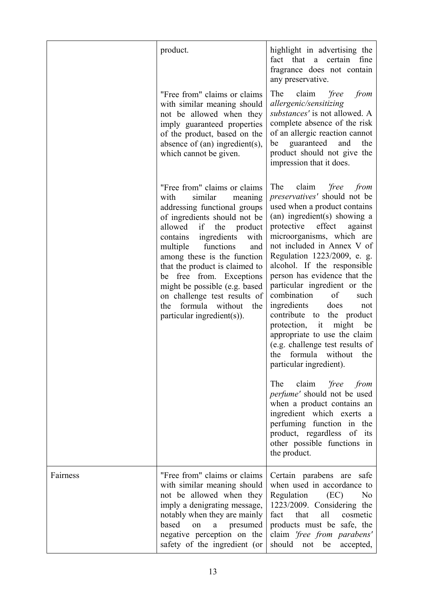|          | product.                                                                                                                                                                                                                                                                                                                                                                                                                                                   | highlight in advertising the<br>fact that a certain<br>fine<br>fragrance does not contain<br>any preservative.                                                                                                                                                                                                                                                                                                                                                                                                                                                                                                                                                                                  |
|----------|------------------------------------------------------------------------------------------------------------------------------------------------------------------------------------------------------------------------------------------------------------------------------------------------------------------------------------------------------------------------------------------------------------------------------------------------------------|-------------------------------------------------------------------------------------------------------------------------------------------------------------------------------------------------------------------------------------------------------------------------------------------------------------------------------------------------------------------------------------------------------------------------------------------------------------------------------------------------------------------------------------------------------------------------------------------------------------------------------------------------------------------------------------------------|
|          | "Free from" claims or claims<br>with similar meaning should<br>not be allowed when they<br>imply guaranteed properties<br>of the product, based on the<br>absence of $(an)$ ingredient $(s)$ ,<br>which cannot be given.                                                                                                                                                                                                                                   | claim<br>'free<br>The<br>from<br>allergenic/sensitizing<br>substances' is not allowed. A<br>complete absence of the risk<br>of an allergic reaction cannot<br>guaranteed<br>and<br>the<br>be<br>product should not give the<br>impression that it does.                                                                                                                                                                                                                                                                                                                                                                                                                                         |
|          | "Free from" claims or claims<br>similar<br>with<br>meaning<br>addressing functional groups<br>of ingredients should not be<br>allowed if<br>the<br>product<br>ingredients<br>with<br>contains<br>functions<br>multiple<br>and<br>among these is the function<br>that the product is claimed to<br>be free from. Exceptions<br>might be possible (e.g. based<br>on challenge test results of<br>formula without<br>the<br>the<br>particular ingredient(s)). | The<br>claim<br>'free<br>from<br><i>preservatives'</i> should not be<br>used when a product contains<br>(an) ingredient(s) showing a<br>effect<br>protective<br>against<br>microorganisms, which are<br>not included in Annex V of<br>Regulation 1223/2009, e. g.<br>alcohol. If the responsible<br>person has evidence that the<br>particular ingredient or the<br>of<br>combination<br>such<br>ingredients<br>does<br>not<br>contribute<br>the product<br>to<br>might<br>protection, it<br>be<br>appropriate to use the claim<br>(e.g. challenge test results of<br>the<br>formula without the<br>particular ingredient).<br>claim <i>'free</i><br>The<br>from<br>perfume' should not be used |
|          |                                                                                                                                                                                                                                                                                                                                                                                                                                                            | when a product contains an<br>ingredient which exerts a<br>perfuming function in the<br>product, regardless of<br>its<br>other possible functions in<br>the product.                                                                                                                                                                                                                                                                                                                                                                                                                                                                                                                            |
| Fairness | "Free from" claims or claims<br>with similar meaning should<br>not be allowed when they<br>imply a denigrating message,<br>notably when they are mainly<br>based<br>presumed<br>on<br>a<br>negative perception on the<br>safety of the ingredient (or                                                                                                                                                                                                      | Certain parabens are safe<br>when used in accordance to<br>Regulation<br>(EC)<br>N <sub>0</sub><br>1223/2009. Considering the<br>all<br>fact<br>that<br>cosmetic<br>products must be safe, the<br>claim 'free from parabens'<br>should<br>not be<br>accepted,                                                                                                                                                                                                                                                                                                                                                                                                                                   |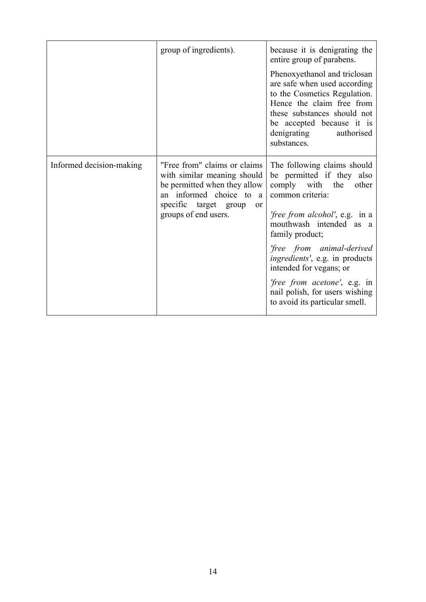|                          | group of ingredients).                                                                                                                                                                      | because it is denigrating the<br>entire group of parabens.<br>Phenoxyethanol and triclosan<br>are safe when used according<br>to the Cosmetics Regulation.<br>Hence the claim free from<br>these substances should not<br>be accepted because it is<br>denigrating<br>authorised<br>substances.                                                                                                      |
|--------------------------|---------------------------------------------------------------------------------------------------------------------------------------------------------------------------------------------|------------------------------------------------------------------------------------------------------------------------------------------------------------------------------------------------------------------------------------------------------------------------------------------------------------------------------------------------------------------------------------------------------|
| Informed decision-making | "Free from" claims or claims<br>with similar meaning should<br>be permitted when they allow<br>informed choice to a<br>an<br>specific target group<br><sub>or</sub><br>groups of end users. | The following claims should<br>be permitted if they also<br>comply with the<br>other<br>common criteria:<br><i>free from alcohol'</i> , e.g. in a<br>mouthwash intended as a<br>family product;<br>'free from animal-derived<br>ingredients', e.g. in products<br>intended for vegans; or<br><i>free from acetone'</i> , e.g. in<br>nail polish, for users wishing<br>to avoid its particular smell. |